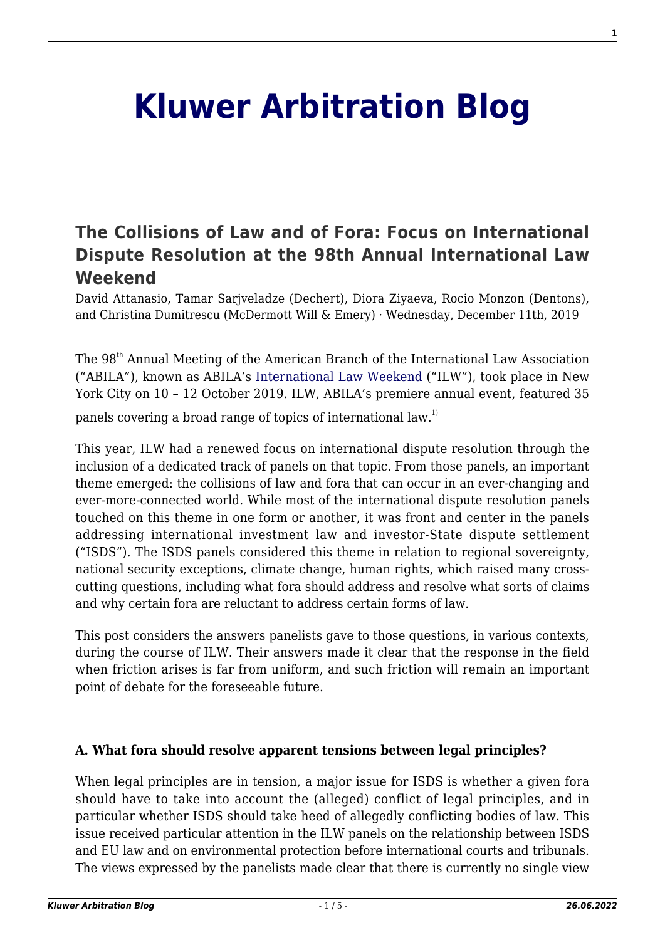# **[Kluwer Arbitration Blog](http://arbitrationblog.kluwerarbitration.com/)**

# **[The Collisions of Law and of Fora: Focus on International](http://arbitrationblog.kluwerarbitration.com/2019/12/11/the-collisions-of-law-and-of-fora-focus-on-international-dispute-resolution-at-the-98th-annual-international-law-weekend/) [Dispute Resolution at the 98th Annual International Law](http://arbitrationblog.kluwerarbitration.com/2019/12/11/the-collisions-of-law-and-of-fora-focus-on-international-dispute-resolution-at-the-98th-annual-international-law-weekend/) [Weekend](http://arbitrationblog.kluwerarbitration.com/2019/12/11/the-collisions-of-law-and-of-fora-focus-on-international-dispute-resolution-at-the-98th-annual-international-law-weekend/)**

David Attanasio, Tamar Sarjveladze (Dechert), Diora Ziyaeva, Rocio Monzon (Dentons), and Christina Dumitrescu (McDermott Will & Emery) · Wednesday, December 11th, 2019

The 98<sup>th</sup> Annual Meeting of the American Branch of the International Law Association ("ABILA"), known as ABILA's [International Law Weekend](https://www.ila-americanbranch.org/ilw/) ("ILW"), took place in New York City on 10 – 12 October 2019. ILW, ABILA's premiere annual event, featured 35 panels covering a broad range of topics of international law.<sup>1)</sup>

This year, ILW had a renewed focus on international dispute resolution through the inclusion of a dedicated track of panels on that topic. From those panels, an important theme emerged: the collisions of law and fora that can occur in an ever-changing and ever-more-connected world. While most of the international dispute resolution panels touched on this theme in one form or another, it was front and center in the panels addressing international investment law and investor-State dispute settlement ("ISDS"). The ISDS panels considered this theme in relation to regional sovereignty, national security exceptions, climate change, human rights, which raised many crosscutting questions, including what fora should address and resolve what sorts of claims and why certain fora are reluctant to address certain forms of law.

This post considers the answers panelists gave to those questions, in various contexts, during the course of ILW. Their answers made it clear that the response in the field when friction arises is far from uniform, and such friction will remain an important point of debate for the foreseeable future.

# **A. What fora should resolve apparent tensions between legal principles?**

When legal principles are in tension, a major issue for ISDS is whether a given fora should have to take into account the (alleged) conflict of legal principles, and in particular whether ISDS should take heed of allegedly conflicting bodies of law. This issue received particular attention in the ILW panels on the relationship between ISDS and EU law and on environmental protection before international courts and tribunals. The views expressed by the panelists made clear that there is currently no single view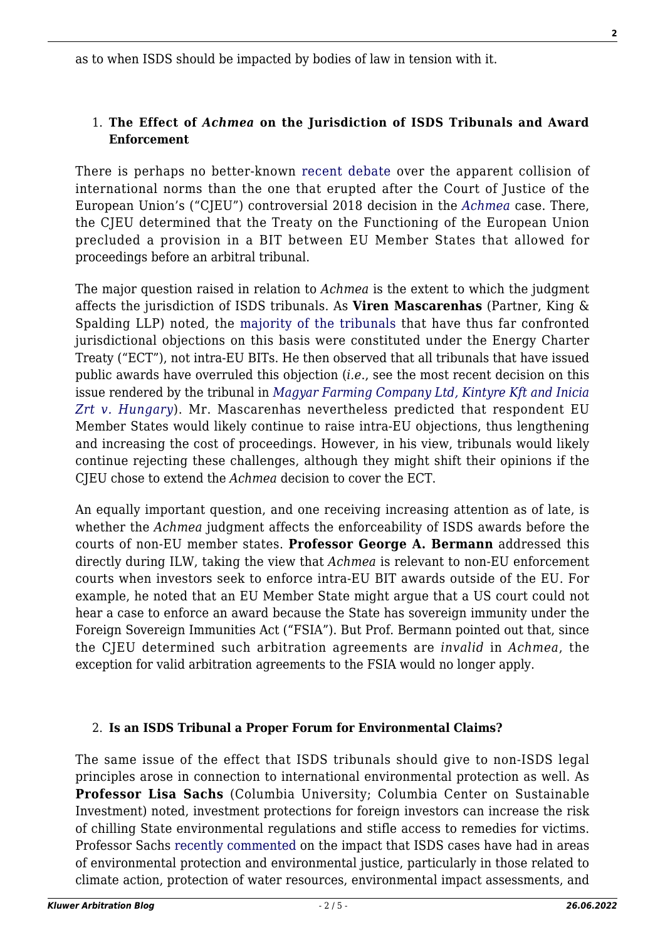as to when ISDS should be impacted by bodies of law in tension with it.

# 1. **The Effect of** *Achmea* **on the Jurisdiction of ISDS Tribunals and Award Enforcement**

There is perhaps no better-known [recent debate](http://arbitrationblog.kluwerarbitration.com/category/archives/achmea/) over the apparent collision of international norms than the one that erupted after the Court of Justice of the European Union's ("CJEU") controversial 2018 decision in the *[Achmea](https://eur-lex.europa.eu/legal-content/EN/TXT/?uri=CELEX%3A62016CJ0284)* case. There, the CJEU determined that the Treaty on the Functioning of the European Union precluded a provision in a BIT between EU Member States that allowed for proceedings before an arbitral tribunal.

The major question raised in relation to *Achmea* is the extent to which the judgment affects the jurisdiction of ISDS tribunals. As **Viren Mascarenhas** (Partner, King & Spalding LLP) noted, the [majority of the tribunals](http://arbitrationblog.kluwerarbitration.com/2019/08/18/intra-eu-disputes-under-the-energy-charter-treaty-quo-vadis/) that have thus far confronted jurisdictional objections on this basis were constituted under the Energy Charter Treaty ("ECT"), not intra-EU BITs. He then observed that all tribunals that have issued public awards have overruled this objection (*i.e*., see the most recent decision on this issue rendered by the tribunal in *[Magyar Farming Company Ltd, Kintyre Kft and Inicia](http://icsidfiles.worldbank.org/icsid/ICSIDBLOBS/OnlineAwards/C6587/DS13092_En.pdf) [Zrt v. Hungary](http://icsidfiles.worldbank.org/icsid/ICSIDBLOBS/OnlineAwards/C6587/DS13092_En.pdf)*). Mr. Mascarenhas nevertheless predicted that respondent EU Member States would likely continue to raise intra-EU objections, thus lengthening and increasing the cost of proceedings. However, in his view, tribunals would likely continue rejecting these challenges, although they might shift their opinions if the CJEU chose to extend the *Achmea* decision to cover the ECT.

An equally important question, and one receiving increasing attention as of late, is whether the *Achmea* judgment affects the enforceability of ISDS awards before the courts of non-EU member states. **Professor George A. Bermann** addressed this directly during ILW, taking the view that *Achmea* is relevant to non-EU enforcement courts when investors seek to enforce intra-EU BIT awards outside of the EU. For example, he noted that an EU Member State might argue that a US court could not hear a case to enforce an award because the State has sovereign immunity under the Foreign Sovereign Immunities Act ("FSIA"). But Prof. Bermann pointed out that, since the CJEU determined such arbitration agreements are *invalid* in *Achmea*, the exception for valid arbitration agreements to the FSIA would no longer apply.

# 2. **Is an ISDS Tribunal a Proper Forum for Environmental Claims?**

The same issue of the effect that ISDS tribunals should give to non-ISDS legal principles arose in connection to international environmental protection as well. As **Professor Lisa Sachs** (Columbia University; Columbia Center on Sustainable Investment) noted, investment protections for foreign investors can increase the risk of chilling State environmental regulations and stifle access to remedies for victims. Professor Sachs [recently commented](http://arbitrationblog.kluwerarbitration.com/2019/11/13/environmental-injustice-how-treaties-undermine-the-right-to-a-healthy-environment/) on the impact that ISDS cases have had in areas of environmental protection and environmental justice, particularly in those related to climate action, protection of water resources, environmental impact assessments, and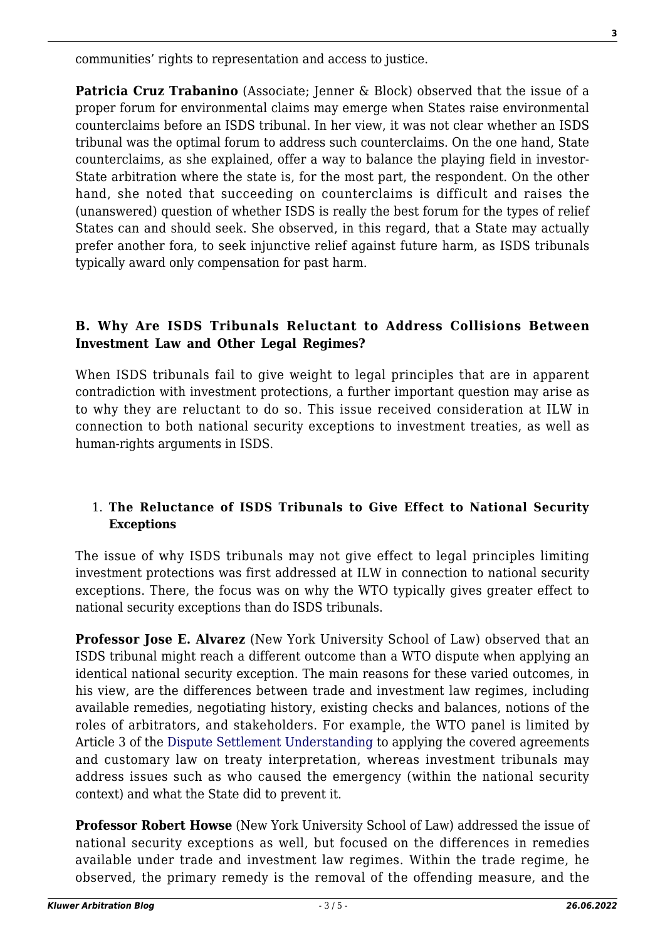communities' rights to representation and access to justice.

**Patricia Cruz Trabanino** (Associate; Jenner & Block) observed that the issue of a proper forum for environmental claims may emerge when States raise environmental counterclaims before an ISDS tribunal. In her view, it was not clear whether an ISDS tribunal was the optimal forum to address such counterclaims. On the one hand, State counterclaims, as she explained, offer a way to balance the playing field in investor-State arbitration where the state is, for the most part, the respondent. On the other hand, she noted that succeeding on counterclaims is difficult and raises the (unanswered) question of whether ISDS is really the best forum for the types of relief States can and should seek. She observed, in this regard, that a State may actually prefer another fora, to seek injunctive relief against future harm, as ISDS tribunals typically award only compensation for past harm.

# **B. Why Are ISDS Tribunals Reluctant to Address Collisions Between Investment Law and Other Legal Regimes?**

When ISDS tribunals fail to give weight to legal principles that are in apparent contradiction with investment protections, a further important question may arise as to why they are reluctant to do so. This issue received consideration at ILW in connection to both national security exceptions to investment treaties, as well as human-rights arguments in ISDS.

# 1. **The Reluctance of ISDS Tribunals to Give Effect to National Security Exceptions**

The issue of why ISDS tribunals may not give effect to legal principles limiting investment protections was first addressed at ILW in connection to national security exceptions. There, the focus was on why the WTO typically gives greater effect to national security exceptions than do ISDS tribunals.

**Professor Jose E. Alvarez** (New York University School of Law) observed that an ISDS tribunal might reach a different outcome than a WTO dispute when applying an identical national security exception. The main reasons for these varied outcomes, in his view, are the differences between trade and investment law regimes, including available remedies, negotiating history, existing checks and balances, notions of the roles of arbitrators, and stakeholders. For example, the WTO panel is limited by Article 3 of the [Dispute Settlement Understanding](https://www.wto.org/english/tratop_e/dispu_e/dsu_e.htm) to applying the covered agreements and customary law on treaty interpretation, whereas investment tribunals may address issues such as who caused the emergency (within the national security context) and what the State did to prevent it.

**Professor Robert Howse** (New York University School of Law) addressed the issue of national security exceptions as well, but focused on the differences in remedies available under trade and investment law regimes. Within the trade regime, he observed, the primary remedy is the removal of the offending measure, and the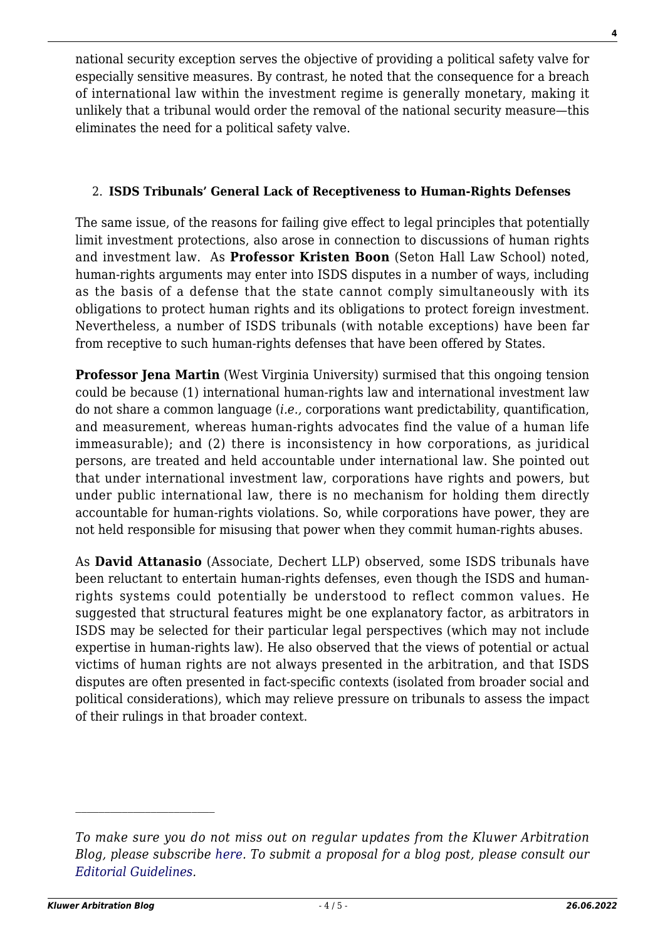national security exception serves the objective of providing a political safety valve for especially sensitive measures. By contrast, he noted that the consequence for a breach of international law within the investment regime is generally monetary, making it unlikely that a tribunal would order the removal of the national security measure—this eliminates the need for a political safety valve.

# 2. **ISDS Tribunals' General Lack of Receptiveness to Human-Rights Defenses**

The same issue, of the reasons for failing give effect to legal principles that potentially limit investment protections, also arose in connection to discussions of human rights and investment law. As **Professor Kristen Boon** (Seton Hall Law School) noted, human-rights arguments may enter into ISDS disputes in a number of ways, including as the basis of a defense that the state cannot comply simultaneously with its obligations to protect human rights and its obligations to protect foreign investment. Nevertheless, a number of ISDS tribunals (with notable exceptions) have been far from receptive to such human-rights defenses that have been offered by States.

**Professor Jena Martin** (West Virginia University) surmised that this ongoing tension could be because (1) international human-rights law and international investment law do not share a common language (*i.e.,* corporations want predictability, quantification, and measurement, whereas human-rights advocates find the value of a human life immeasurable); and (2) there is inconsistency in how corporations, as juridical persons, are treated and held accountable under international law. She pointed out that under international investment law, corporations have rights and powers, but under public international law, there is no mechanism for holding them directly accountable for human-rights violations. So, while corporations have power, they are not held responsible for misusing that power when they commit human-rights abuses.

As **David Attanasio** (Associate, Dechert LLP) observed, some ISDS tribunals have been reluctant to entertain human-rights defenses, even though the ISDS and humanrights systems could potentially be understood to reflect common values. He suggested that structural features might be one explanatory factor, as arbitrators in ISDS may be selected for their particular legal perspectives (which may not include expertise in human-rights law). He also observed that the views of potential or actual victims of human rights are not always presented in the arbitration, and that ISDS disputes are often presented in fact-specific contexts (isolated from broader social and political considerations), which may relieve pressure on tribunals to assess the impact of their rulings in that broader context.

*To make sure you do not miss out on regular updates from the Kluwer Arbitration Blog, please subscribe [here](http://arbitrationblog.kluwerarbitration.com/newsletter/). To submit a proposal for a blog post, please consult our [Editorial Guidelines.](http://arbitrationblog.kluwerarbitration.com/editorial-guidelines/)*